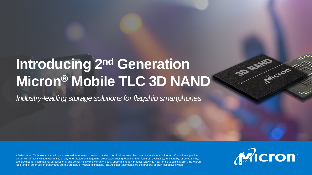### **Introducing 2nd Generation Micron® Mobile TLC 3D NAND**

*Industry-leading storage solutions for flagship smartphones*

©2018 Micron Technology, Inc. All rights reserved. Information, products, and/or specifications are subject to change without notice. All information is provided on an "AS IS" basis without warranties of any kind. Statements regarding products, including regarding their features, availability, functionality, or compatibility, are provided for informational purposes only and do not modify the warranty, if any, applicable to any product. Drawings may not be to scale. Micron, the Micron logo, and all other Micron trademarks are the property of Micron Technology, Inc. All other trademarks are the property of their respective owners.



**SPACE** 

RIVEROF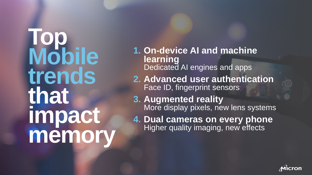**Top Mobile trends that impact memory**

**1. On-device AI and machine learning**  Dedicated AI engines and apps

**2. Advanced user authentication** Face ID, fingerprint sensors

**3. Augmented reality** More display pixels, new lens systems

**4. Dual cameras on every phone**  Higher quality imaging, new effects

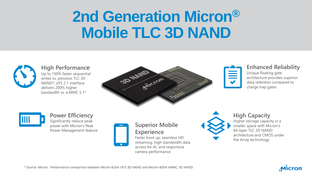### **2nd Generation Micron® Mobile TLC 3D NAND**



#### **High Performance**

Up to 150% faster sequential writes vs. previous TLC 3D NAND\*; UFS 2.1 interface delivers 200% higher bandwidth vs. e.MMC 5.1\*





#### **Enhanced Reliability**

Unique floating gate architecture provides superior data retention compared to charge trap gates



### **Power Efficiency**

Significantly reduce peak power with Micron's Peak Power Management feature



#### **Superior Mobile Experience**

Faster boot up, seamless HD streaming, high-bandwidth data access for AI, and responsive camera performance



#### **High Capacity**

Higher storage capacity in a smaller space with Micron's 64-layer TLC 3D NAND architecture and CMOS under the Array technology



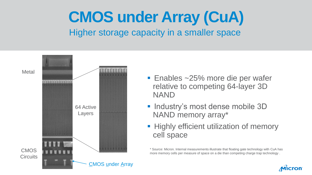### **CMOS under Array (CuA)** Higher storage capacity in a smaller space



- Enables ~25% more die per wafer relative to competing 64-layer 3D NAND
- **Industry's most dense mobile 3D** NAND memory array\*
- **Highly efficient utilization of memory** cell space

\* Source: Micron. Internal measurements illustrate that floating gate technology with CuA has more memory cells per measure of space on a die than competing charge trap technology .

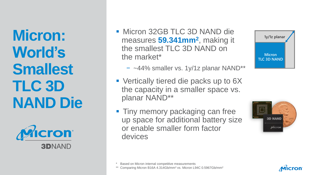**Micron: World's Smallest TLC 3D NAND Die**



- **Micron 32GB TLC 3D NAND die** measures **59.341mm<sup>2</sup>** , making it the smallest TLC 3D NAND on the market\*
	- − ~44% smaller vs. 1y/1z planar NAND\*\*
- **Vertically tiered die packs up to 6X** the capacity in a smaller space vs. planar NAND\*\*
- **Tiny memory packaging can free** up space for additional battery size or enable smaller form factor devices







Comparing Micron B16A 4.314Gb/mm<sup>2</sup> vs. Micron L94C 0.5967Gb/mm<sup>2</sup>

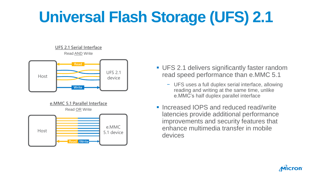# **Universal Flash Storage (UFS) 2.1**

#### **UFS 2.1 Serial Interface** Read AND Write





- UFS 2.1 delivers significantly faster random read speed performance than e.MMC 5.1
	- − UFS uses a full duplex serial interface, allowing reading and writing at the same time, unlike e.MMC's half duplex parallel interface
- Increased IOPS and reduced read/write latencies provide additional performance improvements and security features that enhance multimedia transfer in mobile devices

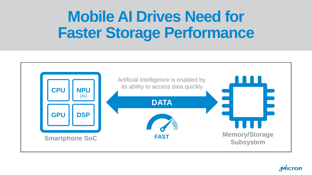### **Mobile AI Drives Need for Faster Storage Performance**



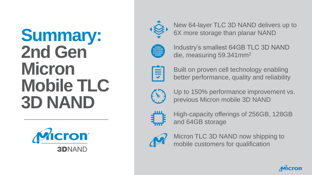## **Summary: 2nd Gen Micron Mobile TLC 3D NAND**





New 64 -layer TLC 3D NAND delivers up to 6X more storage than planar NAND



Industry's smallest 64GB TLC 3D NAND die, measuring 59.341mm<sup>2</sup>



Built on proven cell technology enabling better performance, quality and reliability



Up to 150% performance improvement vs. previous Micron mobile 3D NAND



High -capacity offerings of 256GB, 128GB and 64GB storage



Micron TLC 3D NAND now shipping to mobile customers for qualification